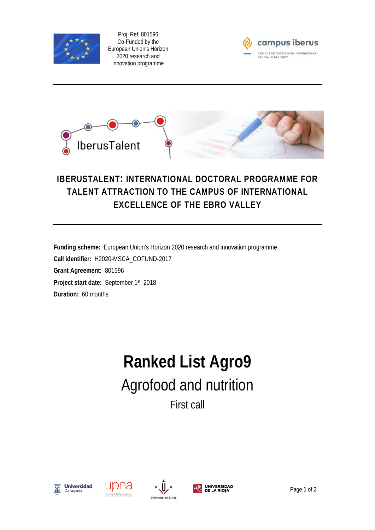

Proj. Ref: 801596 Co-Funded by the European Union's Horizon 2020 research and innovation programme





## **IBERUSTALENT: INTERNATIONAL DOCTORAL PROGRAMME FOR TALENT ATTRACTION TO THE CAMPUS OF INTERNATIONAL EXCELLENCE OF THE EBRO VALLEY**

**Funding scheme:** European Union's Horizon 2020 research and innovation programme **Call identifier:** H2020-MSCA\_COFUND-2017 **Grant Agreement:** 801596 **Project start date:** September 1st, 2018 **Duration:** 60 months

## **Ranked List Agro9** Agrofood and nutrition First call